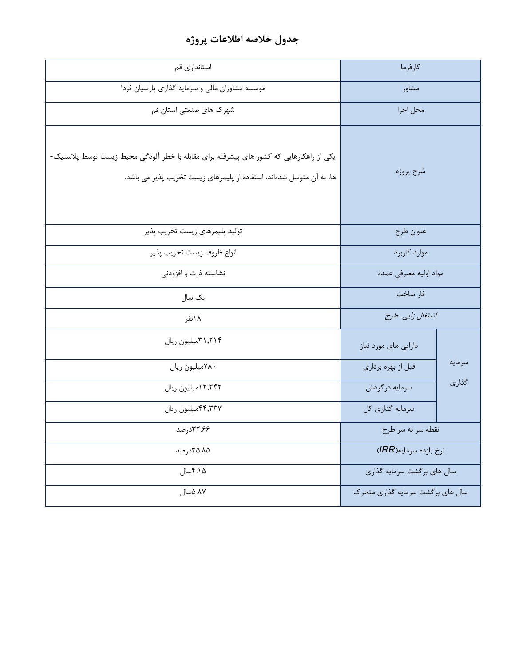## **جدول خالصه اطالعات پروژه**

| استانداری قم                                                                                                                                                    | كارفرما                          |        |
|-----------------------------------------------------------------------------------------------------------------------------------------------------------------|----------------------------------|--------|
| موسسه مشاوران مالی و سرمایه گذاری پارسیان فردا                                                                                                                  | مشاور                            |        |
| شهرک های صنعتی استان قم                                                                                                                                         | محل اجرا                         |        |
| یکی از راهکارهایی که کشور های پیشرفته برای مقابله با خطر آلودگی محیط زیست توسط پلاستیک-<br>ها، به آن متوسل شدهاند، استفاده از پلیمرهای زیست تخریب پذیر می باشد. | شرح پروژه                        |        |
| توليد پليمرهاي زيست تخريب پذير                                                                                                                                  | عنوان طرح                        |        |
| انواع ظروف زيست تخريب پذير                                                                                                                                      | موارد كاربرد                     |        |
| نشاسته ذرت و افزودنی                                                                                                                                            | مواد اوليه مصرفى عمده            |        |
| یک سال                                                                                                                                                          | فاز ساخت                         |        |
| ۱۸نفر                                                                                                                                                           | اشتغال زایی طرح                  |        |
| ۳۱٫۲۱۴میلیون ریال                                                                                                                                               | دارایی های مورد نیاز             |        |
| ٧٨٠ميليون ريال                                                                                                                                                  | قبل از بهره برداري               | سرمايه |
| ۱۲٬۳۴۲میلیون ریال                                                                                                                                               | سرمايه درگردش                    | گذاری  |
| ۴۴٬۳۳۷میلیون ریال                                                                                                                                               | سرمایه گذاری کل                  |        |
| ۳۲.۶۶صد                                                                                                                                                         | نقطه سر به سر طرح                |        |
| ۳۵.۸۵ درصد                                                                                                                                                      | نرخ بازده سرمايه(IRR)            |        |
| ۴.۱۵سال                                                                                                                                                         | سال های برگشت سرمایه گذاری       |        |
| ۸۷.۵.۸۷سال                                                                                                                                                      | سال های برگشت سرمایه گذاری متحرک |        |